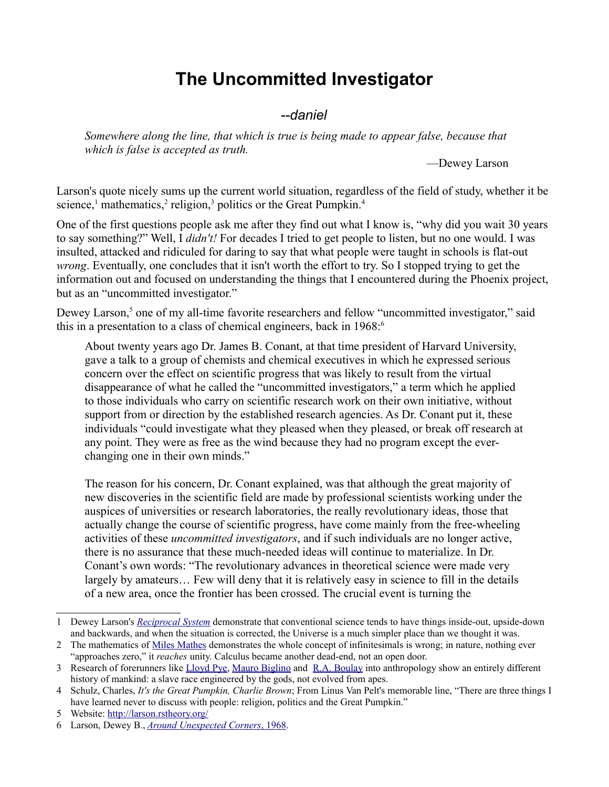## **The Uncommitted Investigator**

*--daniel*

*Somewhere along the line, that which is true is being made to appear false, because that which is false is accepted as truth.*

—Dewey Larson

Larson's quote nicely sums up the current world situation, regardless of the field of study, whether it be science,<sup>[1](#page-0-0)</sup> mathematics,<sup>[2](#page-0-1)</sup> religion,<sup>[3](#page-0-2)</sup> politics or the Great Pumpkin.<sup>[4](#page-0-3)</sup>

One of the first questions people ask me after they find out what I know is, "why did you wait 30 years to say something?" Well, I *didn't!* For decades I tried to get people to listen, but no one would. I was insulted, attacked and ridiculed for daring to say that what people were taught in schools is flat-out *wrong*. Eventually, one concludes that it isn't worth the effort to try. So I stopped trying to get the information out and focused on understanding the things that I encountered during the Phoenix project, but as an "uncommitted investigator."

Dewey Larson,<sup>[5](#page-0-4)</sup> one of my all-time favorite researchers and fellow "uncommitted investigator," said this in a presentation to a class of chemical engineers, back in  $1968$  $1968$  $1968$ <sup>6</sup>

About twenty years ago Dr. James B. Conant, at that time president of Harvard University, gave a talk to a group of chemists and chemical executives in which he expressed serious concern over the effect on scientific progress that was likely to result from the virtual disappearance of what he called the "uncommitted investigators," a term which he applied to those individuals who carry on scientific research work on their own initiative, without support from or direction by the established research agencies. As Dr. Conant put it, these individuals "could investigate what they pleased when they pleased, or break off research at any point. They were as free as the wind because they had no program except the everchanging one in their own minds."

The reason for his concern, Dr. Conant explained, was that although the great majority of new discoveries in the scientific field are made by professional scientists working under the auspices of universities or research laboratories, the really revolutionary ideas, those that actually change the course of scientific progress, have come mainly from the free-wheeling activities of these *uncommitted investigators*, and if such individuals are no longer active, there is no assurance that these much-needed ideas will continue to materialize. In Dr. Conant's own words: "The revolutionary advances in theoretical science were made very largely by amateurs… Few will deny that it is relatively easy in science to fill in the details of a new area, once the frontier has been crossed. The crucial event is turning the

<span id="page-0-0"></span><sup>1</sup> Dewey Larson's *[Reciprocal System](http://rstheory.org/)* demonstrate that conventional science tends to have things inside-out, upside-down and backwards, and when the situation is corrected, the Universe is a much simpler place than we thought it was.

<span id="page-0-1"></span><sup>2</sup> The mathematics of [Miles Mathes](http://milesmathis.com/) demonstrates the whole concept of infinitesimals is wrong; in nature, nothing ever "approaches zero," it *reaches* unity. Calculus became another dead-end, not an open door.

<span id="page-0-2"></span><sup>3</sup> Research of forerunners like [Lloyd Pye,](http://www.lloydpye.com/) [Mauro Biglino](http://www.maurobiglino.com/) and [R.A. Boulay](http://www.amazon.com/Flying-Serpents-Dragons-Mankinds-Reptilian/dp/1885395388) into anthropology show an entirely different history of mankind: a slave race engineered by the gods, not evolved from apes.

<span id="page-0-3"></span><sup>4</sup> Schulz, Charles, *It's the Great Pumpkin, Charlie Brown*; From Linus Van Pelt's memorable line, "There are three things I have learned never to discuss with people: religion, politics and the Great Pumpkin."

<span id="page-0-4"></span><sup>5</sup> Website:<http://larson.rstheory.org/>

<span id="page-0-5"></span><sup>6</sup> Larson, Dewey B., *[Around Unexpected Corners](http://reciprocalsystem.org/PDFa/Around%20Unexpected%20Corners%20(Larson,%20Dewey%20B).pdf)* [, 1968.](http://reciprocalsystem.org/PDFa/Around%20Unexpected%20Corners%20(Larson,%20Dewey%20B).pdf)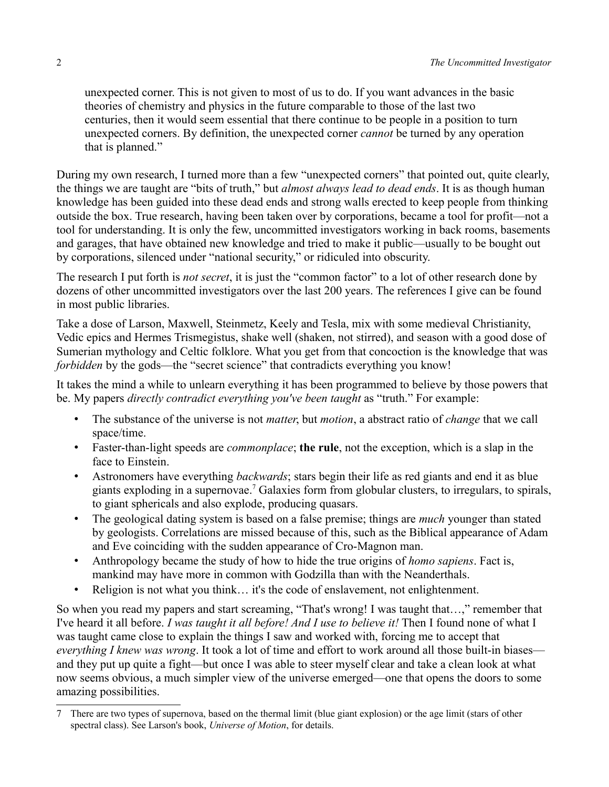unexpected corner. This is not given to most of us to do. If you want advances in the basic theories of chemistry and physics in the future comparable to those of the last two centuries, then it would seem essential that there continue to be people in a position to turn unexpected corners. By definition, the unexpected corner *cannot* be turned by any operation that is planned."

During my own research, I turned more than a few "unexpected corners" that pointed out, quite clearly, the things we are taught are "bits of truth," but *almost always lead to dead ends*. It is as though human knowledge has been guided into these dead ends and strong walls erected to keep people from thinking outside the box. True research, having been taken over by corporations, became a tool for profit—not a tool for understanding. It is only the few, uncommitted investigators working in back rooms, basements and garages, that have obtained new knowledge and tried to make it public—usually to be bought out by corporations, silenced under "national security," or ridiculed into obscurity.

The research I put forth is *not secret*, it is just the "common factor" to a lot of other research done by dozens of other uncommitted investigators over the last 200 years. The references I give can be found in most public libraries.

Take a dose of Larson, Maxwell, Steinmetz, Keely and Tesla, mix with some medieval Christianity, Vedic epics and Hermes Trismegistus, shake well (shaken, not stirred), and season with a good dose of Sumerian mythology and Celtic folklore. What you get from that concoction is the knowledge that was *forbidden* by the gods—the "secret science" that contradicts everything you know!

It takes the mind a while to unlearn everything it has been programmed to believe by those powers that be. My papers *directly contradict everything you've been taught* as "truth." For example:

- The substance of the universe is not *matter*, but *motion*, a abstract ratio of *change* that we call space/time.
- Faster-than-light speeds are *commonplace*; **the rule**, not the exception, which is a slap in the face to Einstein.
- Astronomers have everything *backwards*; stars begin their life as red giants and end it as blue giants exploding in a supernovae.<sup>[7](#page-1-0)</sup> Galaxies form from globular clusters, to irregulars, to spirals, to giant sphericals and also explode, producing quasars.
- The geological dating system is based on a false premise; things are *much* younger than stated by geologists. Correlations are missed because of this, such as the Biblical appearance of Adam and Eve coinciding with the sudden appearance of Cro-Magnon man.
- Anthropology became the study of how to hide the true origins of *homo sapiens*. Fact is, mankind may have more in common with Godzilla than with the Neanderthals.
- Religion is not what you think… it's the code of enslavement, not enlightenment.

So when you read my papers and start screaming, "That's wrong! I was taught that…," remember that I've heard it all before. *I was taught it all before! And I use to believe it!* Then I found none of what I was taught came close to explain the things I saw and worked with, forcing me to accept that *everything I knew was wrong*. It took a lot of time and effort to work around all those built-in biases and they put up quite a fight—but once I was able to steer myself clear and take a clean look at what now seems obvious, a much simpler view of the universe emerged—one that opens the doors to some amazing possibilities.

<span id="page-1-0"></span><sup>7</sup> There are two types of supernova, based on the thermal limit (blue giant explosion) or the age limit (stars of other spectral class). See Larson's book, *Universe of Motion*, for details.